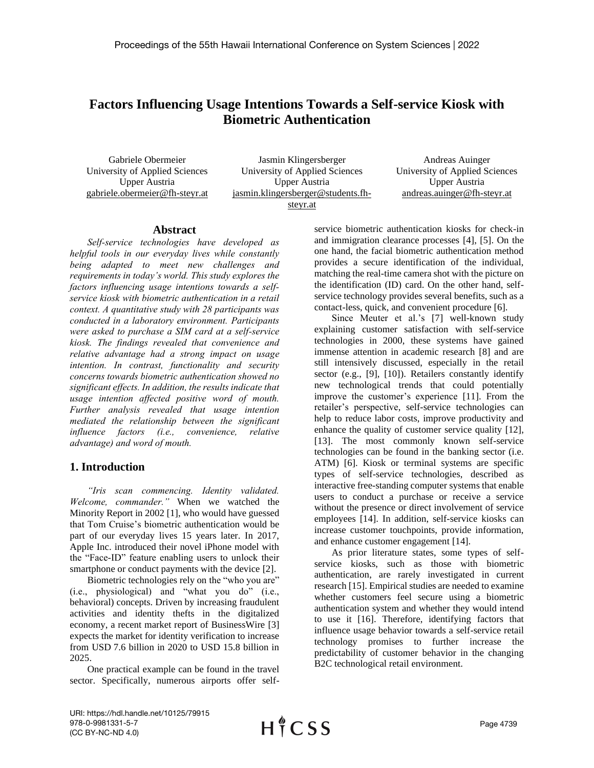# **Factors Influencing Usage Intentions Towards a Self-service Kiosk with Biometric Authentication**

Gabriele Obermeier University of Applied Sciences Upper Austria gabriele.obermeier@fh-steyr.at

Jasmin Klingersberger University of Applied Sciences Upper Austria jasmin.klingersberger@students.fhsteyr.at

Andreas Auinger University of Applied Sciences Upper Austria andreas.auinger@fh-steyr.at

#### **Abstract**

*Self-service technologies have developed as helpful tools in our everyday lives while constantly being adapted to meet new challenges and requirements in today's world. This study explores the factors influencing usage intentions towards a selfservice kiosk with biometric authentication in a retail context. A quantitative study with 28 participants was conducted in a laboratory environment. Participants were asked to purchase a SIM card at a self-service kiosk. The findings revealed that convenience and relative advantage had a strong impact on usage intention. In contrast, functionality and security concerns towards biometric authentication showed no significant effects. In addition, the results indicate that usage intention affected positive word of mouth. Further analysis revealed that usage intention mediated the relationship between the significant influence factors (i.e., convenience, relative advantage) and word of mouth.*

# **1. Introduction**

*"Iris scan commencing. Identity validated. Welcome, commander."* When we watched the Minority Report in 2002 [1], who would have guessed that Tom Cruise's biometric authentication would be part of our everyday lives 15 years later. In 2017, Apple Inc. introduced their novel iPhone model with the "Face-ID" feature enabling users to unlock their smartphone or conduct payments with the device [2].

Biometric technologies rely on the "who you are" (i.e., physiological) and "what you do" (i.e., behavioral) concepts. Driven by increasing fraudulent activities and identity thefts in the digitalized economy, a recent market report of BusinessWire [3] expects the market for identity verification to increase from USD 7.6 billion in 2020 to USD 15.8 billion in 2025.

One practical example can be found in the travel sector. Specifically, numerous airports offer selfservice biometric authentication kiosks for check-in and immigration clearance processes [4], [5]. On the one hand, the facial biometric authentication method provides a secure identification of the individual, matching the real-time camera shot with the picture on the identification (ID) card. On the other hand, selfservice technology provides several benefits, such as a contact-less, quick, and convenient procedure [6].

Since Meuter et al.'s [7] well-known study explaining customer satisfaction with self-service technologies in 2000, these systems have gained immense attention in academic research [8] and are still intensively discussed, especially in the retail sector (e.g., [9], [10]). Retailers constantly identify new technological trends that could potentially improve the customer's experience [11]. From the retailer's perspective, self-service technologies can help to reduce labor costs, improve productivity and enhance the quality of customer service quality [12], [13]. The most commonly known self-service technologies can be found in the banking sector (i.e. ATM) [6]. Kiosk or terminal systems are specific types of self-service technologies, described as interactive free-standing computer systems that enable users to conduct a purchase or receive a service without the presence or direct involvement of service employees [14]. In addition, self-service kiosks can increase customer touchpoints, provide information, and enhance customer engagement [14].

As prior literature states, some types of selfservice kiosks, such as those with biometric authentication, are rarely investigated in current research [15]. Empirical studies are needed to examine whether customers feel secure using a biometric authentication system and whether they would intend to use it [16]. Therefore, identifying factors that influence usage behavior towards a self-service retail technology promises to further increase the predictability of customer behavior in the changing B2C technological retail environment.

URI: https://hdl.handle.net/10125/79915 978-0-9981331-5-7 (CC BY-NC-ND 4.0)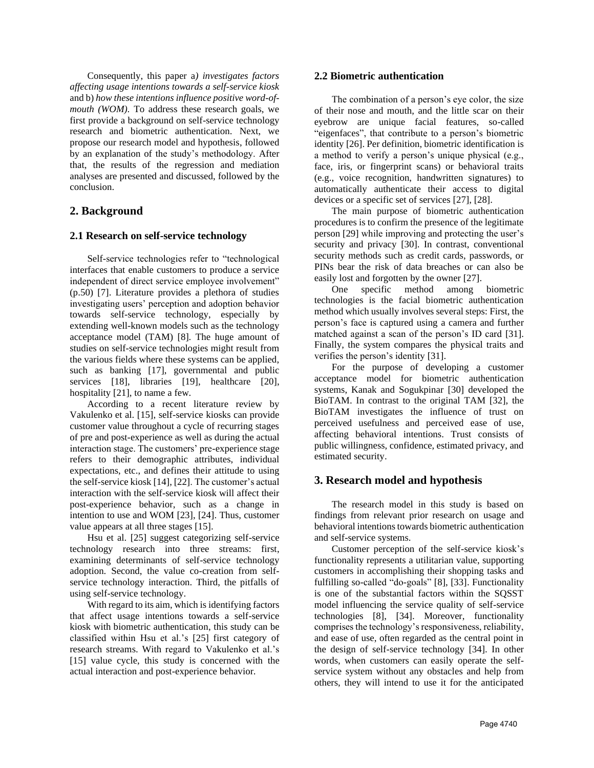Consequently, this paper a*) investigates factors affecting usage intentions towards a self-service kiosk* and b) *how these intentions influence positive word-ofmouth (WOM)*. To address these research goals, we first provide a background on self-service technology research and biometric authentication. Next, we propose our research model and hypothesis, followed by an explanation of the study's methodology. After that, the results of the regression and mediation analyses are presented and discussed, followed by the conclusion.

## **2. Background**

### **2.1 Research on self-service technology**

Self-service technologies refer to "technological interfaces that enable customers to produce a service independent of direct service employee involvement" (p.50) [7]. Literature provides a plethora of studies investigating users' perception and adoption behavior towards self-service technology, especially by extending well-known models such as the technology acceptance model (TAM) [8]. The huge amount of studies on self-service technologies might result from the various fields where these systems can be applied, such as banking [17], governmental and public services [18], libraries [19], healthcare [20], hospitality [21], to name a few.

According to a recent literature review by Vakulenko et al. [15], self-service kiosks can provide customer value throughout a cycle of recurring stages of pre and post-experience as well as during the actual interaction stage. The customers' pre-experience stage refers to their demographic attributes, individual expectations, etc., and defines their attitude to using the self-service kiosk [14], [22]. The customer's actual interaction with the self-service kiosk will affect their post-experience behavior, such as a change in intention to use and WOM [23], [24]. Thus, customer value appears at all three stages [15].

Hsu et al. [25] suggest categorizing self-service technology research into three streams: first, examining determinants of self-service technology adoption. Second, the value co-creation from selfservice technology interaction. Third, the pitfalls of using self-service technology.

With regard to its aim, which is identifying factors that affect usage intentions towards a self-service kiosk with biometric authentication, this study can be classified within Hsu et al.'s [25] first category of research streams. With regard to Vakulenko et al.'s [15] value cycle, this study is concerned with the actual interaction and post-experience behavior.

#### **2.2 Biometric authentication**

The combination of a person's eye color, the size of their nose and mouth, and the little scar on their eyebrow are unique facial features, so-called "eigenfaces", that contribute to a person's biometric identity [26]. Per definition, biometric identification is a method to verify a person's unique physical (e.g., face, iris, or fingerprint scans) or behavioral traits (e.g., voice recognition, handwritten signatures) to automatically authenticate their access to digital devices or a specific set of services [27], [28].

The main purpose of biometric authentication procedures is to confirm the presence of the legitimate person [29] while improving and protecting the user's security and privacy [30]. In contrast, conventional security methods such as credit cards, passwords, or PINs bear the risk of data breaches or can also be easily lost and forgotten by the owner [27].

One specific method among biometric technologies is the facial biometric authentication method which usually involves several steps: First, the person's face is captured using a camera and further matched against a scan of the person's ID card [31]. Finally, the system compares the physical traits and verifies the person's identity [31].

For the purpose of developing a customer acceptance model for biometric authentication systems, Kanak and Sogukpinar [30] developed the BioTAM. In contrast to the original TAM [32], the BioTAM investigates the influence of trust on perceived usefulness and perceived ease of use, affecting behavioral intentions. Trust consists of public willingness, confidence, estimated privacy, and estimated security.

## **3. Research model and hypothesis**

The research model in this study is based on findings from relevant prior research on usage and behavioral intentions towards biometric authentication and self-service systems.

Customer perception of the self-service kiosk's functionality represents a utilitarian value, supporting customers in accomplishing their shopping tasks and fulfilling so-called "do-goals" [8], [33]. Functionality is one of the substantial factors within the SQSST model influencing the service quality of self-service technologies [8], [34]. Moreover, functionality comprises the technology's responsiveness, reliability, and ease of use, often regarded as the central point in the design of self-service technology [34]. In other words, when customers can easily operate the selfservice system without any obstacles and help from others, they will intend to use it for the anticipated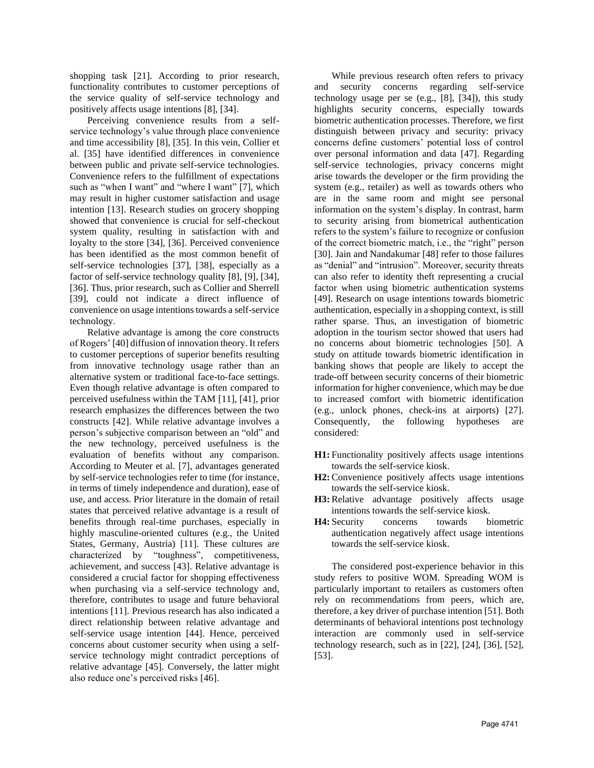shopping task [21]. According to prior research, functionality contributes to customer perceptions of the service quality of self-service technology and positively affects usage intentions [8], [34].

Perceiving convenience results from a selfservice technology's value through place convenience and time accessibility [8], [35]. In this vein, Collier et al. [35] have identified differences in convenience between public and private self-service technologies. Convenience refers to the fulfillment of expectations such as "when I want" and "where I want" [7], which may result in higher customer satisfaction and usage intention [13]. Research studies on grocery shopping showed that convenience is crucial for self-checkout system quality, resulting in satisfaction with and loyalty to the store [34], [36]. Perceived convenience has been identified as the most common benefit of self-service technologies [37], [38], especially as a factor of self-service technology quality [8], [9], [34], [36]. Thus, prior research, such as Collier and Sherrell [39], could not indicate a direct influence of convenience on usage intentions towards a self-service technology.

Relative advantage is among the core constructs of Rogers' [40] diffusion of innovation theory. It refers to customer perceptions of superior benefits resulting from innovative technology usage rather than an alternative system or traditional face-to-face settings. Even though relative advantage is often compared to perceived usefulness within the TAM [11], [41], prior research emphasizes the differences between the two constructs [42]. While relative advantage involves a person's subjective comparison between an "old" and the new technology, perceived usefulness is the evaluation of benefits without any comparison. According to Meuter et al. [7], advantages generated by self-service technologies refer to time (for instance, in terms of timely independence and duration), ease of use, and access. Prior literature in the domain of retail states that perceived relative advantage is a result of benefits through real-time purchases, especially in highly masculine-oriented cultures (e.g., the United States, Germany, Austria) [11]. These cultures are characterized by "toughness", competitiveness, achievement, and success [43]. Relative advantage is considered a crucial factor for shopping effectiveness when purchasing via a self-service technology and, therefore, contributes to usage and future behavioral intentions [11]. Previous research has also indicated a direct relationship between relative advantage and self-service usage intention [44]. Hence, perceived concerns about customer security when using a selfservice technology might contradict perceptions of relative advantage [45]. Conversely, the latter might also reduce one's perceived risks [46].

While previous research often refers to privacy and security concerns regarding self-service technology usage per se (e.g., [8], [34]), this study highlights security concerns, especially towards biometric authentication processes. Therefore, we first distinguish between privacy and security: privacy concerns define customers' potential loss of control over personal information and data [47]. Regarding self-service technologies, privacy concerns might arise towards the developer or the firm providing the system (e.g., retailer) as well as towards others who are in the same room and might see personal information on the system's display. In contrast, harm to security arising from biometrical authentication refers to the system's failure to recognize or confusion of the correct biometric match, i.e., the "right" person [30]. Jain and Nandakumar [48] refer to those failures as "denial" and "intrusion". Moreover, security threats can also refer to identity theft representing a crucial factor when using biometric authentication systems [49]. Research on usage intentions towards biometric authentication, especially in a shopping context, is still rather sparse. Thus, an investigation of biometric adoption in the tourism sector showed that users had no concerns about biometric technologies [50]. A study on attitude towards biometric identification in banking shows that people are likely to accept the trade-off between security concerns of their biometric information for higher convenience, which may be due to increased comfort with biometric identification (e.g., unlock phones, check-ins at airports) [27]. Consequently, the following hypotheses are considered:

- **H1:** Functionality positively affects usage intentions towards the self-service kiosk.
- **H2:** Convenience positively affects usage intentions towards the self-service kiosk.
- **H3:** Relative advantage positively affects usage intentions towards the self-service kiosk.
- **H4:** Security concerns towards biometric authentication negatively affect usage intentions towards the self-service kiosk.

The considered post-experience behavior in this study refers to positive WOM. Spreading WOM is particularly important to retailers as customers often rely on recommendations from peers, which are, therefore, a key driver of purchase intention [51]. Both determinants of behavioral intentions post technology interaction are commonly used in self-service technology research, such as in [22], [24], [36], [52], [53].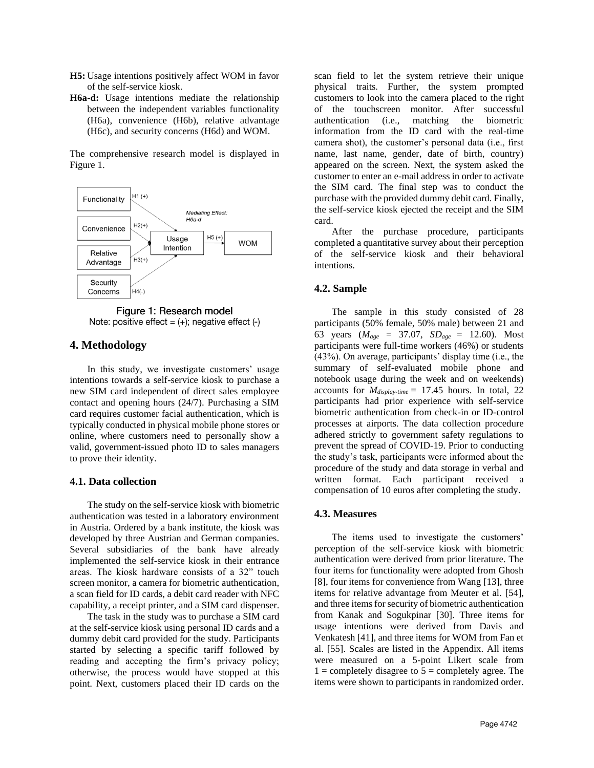- **H5:** Usage intentions positively affect WOM in favor of the self-service kiosk.
- **H6a-d:** Usage intentions mediate the relationship between the independent variables functionality (H6a), convenience (H6b), relative advantage (H6c), and security concerns (H6d) and WOM.

The comprehensive research model is displayed in Figure 1.





## **4. Methodology**

In this study, we investigate customers' usage intentions towards a self-service kiosk to purchase a new SIM card independent of direct sales employee contact and opening hours (24/7). Purchasing a SIM card requires customer facial authentication, which is typically conducted in physical mobile phone stores or online, where customers need to personally show a valid, government-issued photo ID to sales managers to prove their identity.

#### **4.1. Data collection**

The study on the self-service kiosk with biometric authentication was tested in a laboratory environment in Austria. Ordered by a bank institute, the kiosk was developed by three Austrian and German companies. Several subsidiaries of the bank have already implemented the self-service kiosk in their entrance areas. The kiosk hardware consists of a 32" touch screen monitor, a camera for biometric authentication, a scan field for ID cards, a debit card reader with NFC capability, a receipt printer, and a SIM card dispenser.

The task in the study was to purchase a SIM card at the self-service kiosk using personal ID cards and a dummy debit card provided for the study. Participants started by selecting a specific tariff followed by reading and accepting the firm's privacy policy; otherwise, the process would have stopped at this point. Next, customers placed their ID cards on the

scan field to let the system retrieve their unique physical traits. Further, the system prompted customers to look into the camera placed to the right of the touchscreen monitor. After successful authentication (i.e., matching the biometric information from the ID card with the real-time camera shot), the customer's personal data (i.e., first name, last name, gender, date of birth, country) appeared on the screen. Next, the system asked the customer to enter an e-mail address in order to activate the SIM card. The final step was to conduct the purchase with the provided dummy debit card. Finally, the self-service kiosk ejected the receipt and the SIM card.

After the purchase procedure, participants completed a quantitative survey about their perception of the self-service kiosk and their behavioral intentions.

## **4.2. Sample**

The sample in this study consisted of 28 participants (50% female, 50% male) between 21 and 63 years (*Mage* = 37.07, *SDage* = 12.60). Most participants were full-time workers (46%) or students (43%). On average, participants' display time (i.e., the summary of self-evaluated mobile phone and notebook usage during the week and on weekends) accounts for *Mdisplay-time* = 17.45 hours. In total, 22 participants had prior experience with self-service biometric authentication from check-in or ID-control processes at airports. The data collection procedure adhered strictly to government safety regulations to prevent the spread of COVID-19. Prior to conducting the study's task, participants were informed about the procedure of the study and data storage in verbal and written format. Each participant received a compensation of 10 euros after completing the study.

#### **4.3. Measures**

The items used to investigate the customers' perception of the self-service kiosk with biometric authentication were derived from prior literature. The four items for functionality were adopted from Ghosh [8], four items for convenience from Wang [13], three items for relative advantage from Meuter et al. [54], and three items for security of biometric authentication from Kanak and Sogukpinar [30]. Three items for usage intentions were derived from Davis and Venkatesh [41], and three items for WOM from Fan et al. [55]. Scales are listed in the Appendix. All items were measured on a 5-point Likert scale from  $1 =$  completely disagree to  $5 =$  completely agree. The items were shown to participants in randomized order.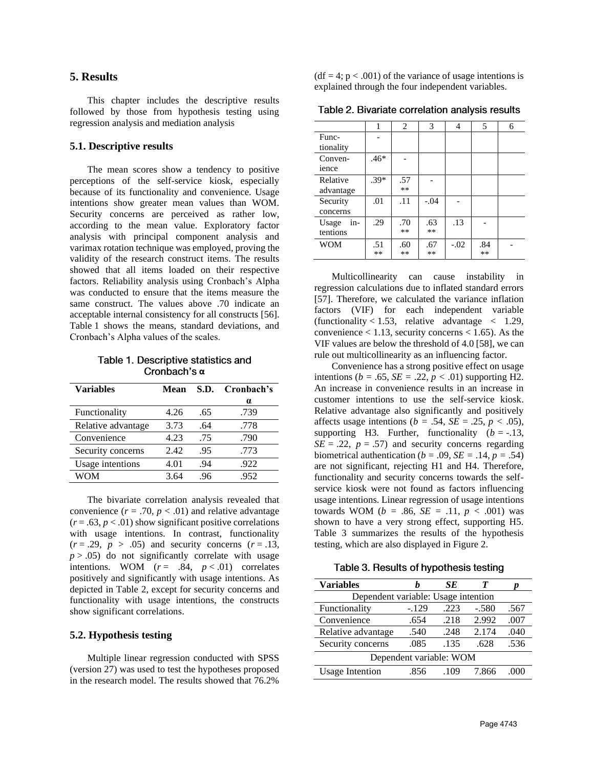# **5. Results**

This chapter includes the descriptive results followed by those from hypothesis testing using regression analysis and mediation analysis

## **5.1. Descriptive results**

The mean scores show a tendency to positive perceptions of the self-service kiosk, especially because of its functionality and convenience. Usage intentions show greater mean values than WOM. Security concerns are perceived as rather low, according to the mean value. Exploratory factor analysis with principal component analysis and varimax rotation technique was employed, proving the validity of the research construct items. The results showed that all items loaded on their respective factors. Reliability analysis using Cronbach's Alpha was conducted to ensure that the items measure the same construct. The values above .70 indicate an acceptable internal consistency for all constructs [56]. Table 1 shows the means, standard deviations, and Cronbach's Alpha values of the scales.

Table 1. Descriptive statistics and Cronbach's α

| <b>Variables</b>   | Mean |     | S.D. Cronbach's |
|--------------------|------|-----|-----------------|
|                    |      |     | $\alpha$        |
| Functionality      | 4.26 | .65 | .739            |
| Relative advantage | 3.73 | .64 | .778            |
| Convenience        | 4.23 | .75 | .790            |
| Security concerns  | 2.42 | .95 | .773            |
| Usage intentions   | 4.01 | .94 | .922            |
| WOM                | 3.64 | .96 | .952            |

The bivariate correlation analysis revealed that convenience  $(r = .70, p < .01)$  and relative advantage  $(r = .63, p < .01)$  show significant positive correlations with usage intentions. In contrast, functionality  $(r=.29, p>.05)$  and security concerns  $(r=.13,$  $p > .05$ ) do not significantly correlate with usage intentions. WOM  $(r = .84, p < .01)$  correlates positively and significantly with usage intentions. As depicted in Table 2, except for security concerns and functionality with usage intentions, the constructs show significant correlations.

### **5.2. Hypothesis testing**

Multiple linear regression conducted with SPSS (version 27) was used to test the hypotheses proposed in the research model. The results showed that 76.2%  $(df = 4; p < .001)$  of the variance of usage intentions is explained through the four independent variables.

Table 2. Bivariate correlation analysis results

|                  | 1      | 2   | 3      | 4      | 5   | 6 |
|------------------|--------|-----|--------|--------|-----|---|
| Func-            |        |     |        |        |     |   |
| tionality        |        |     |        |        |     |   |
| Conven-<br>ience | $.46*$ |     |        |        |     |   |
| Relative         | $.39*$ | .57 |        |        |     |   |
| advantage        |        | **  |        |        |     |   |
| Security         | .01    | .11 | $-.04$ |        |     |   |
| concerns         |        |     |        |        |     |   |
| in-<br>Usage     | .29    | .70 | .63    | .13    |     |   |
| tentions         |        | **  | $***$  |        |     |   |
| <b>WOM</b>       | .51    | .60 | .67    | $-.02$ | .84 |   |
|                  | **     | **  | $***$  |        | **  |   |

Multicollinearity can cause instability in regression calculations due to inflated standard errors [57]. Therefore, we calculated the variance inflation factors (VIF) for each independent variable (functionality < 1.53, relative advantage  $\langle 1.29, \rangle$ convenience  $< 1.13$ , security concerns  $< 1.65$ ). As the VIF values are below the threshold of 4.0 [58], we can rule out multicollinearity as an influencing factor.

Convenience has a strong positive effect on usage intentions ( $b = .65$ ,  $SE = .22$ ,  $p < .01$ ) supporting H2. An increase in convenience results in an increase in customer intentions to use the self-service kiosk. Relative advantage also significantly and positively affects usage intentions ( $b = .54$ ,  $SE = .25$ ,  $p < .05$ ), supporting H3. Further, functionality  $(b = -13)$ ,  $SE = .22$ ,  $p = .57$ ) and security concerns regarding biometrical authentication ( $b = .09$ ,  $SE = .14$ ,  $p = .54$ ) are not significant, rejecting H1 and H4. Therefore, functionality and security concerns towards the selfservice kiosk were not found as factors influencing usage intentions. Linear regression of usage intentions towards WOM ( $b = .86$ ,  $SE = .11$ ,  $p < .001$ ) was shown to have a very strong effect, supporting H5. Table 3 summarizes the results of the hypothesis testing, which are also displayed in Figure 2.

Table 3. Results of hypothesis testing

| <b>Variables</b>                    |         | SЕ   |         |      |  |  |
|-------------------------------------|---------|------|---------|------|--|--|
| Dependent variable: Usage intention |         |      |         |      |  |  |
| Functionality                       | $-.129$ | .223 | $-.580$ | .567 |  |  |
| Convenience                         | .654    | .218 | 2.992   | .007 |  |  |
| Relative advantage                  | .540    | .248 | 2.174   | .040 |  |  |
| Security concerns                   | .085    | .135 | .628    | .536 |  |  |
| Dependent variable: WOM             |         |      |         |      |  |  |
| <b>Usage Intention</b>              | .856    | .109 | 7.866   | 000  |  |  |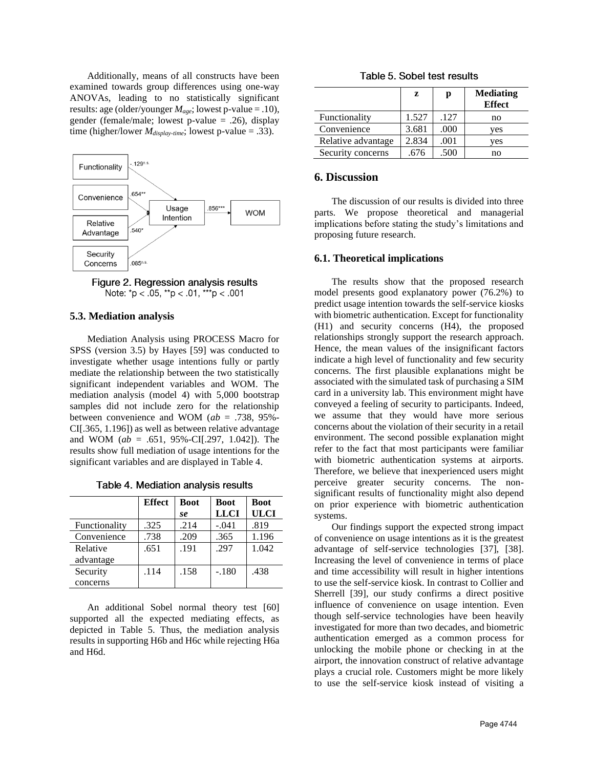Additionally, means of all constructs have been examined towards group differences using one-way ANOVAs, leading to no statistically significant results: age (older/younger *Mage*; lowest p-value = .10), gender (female/male; lowest p-value = .26), display time (higher/lower *Mdisplay-time*; lowest p-value = .33).



Figure 2. Regression analysis results Note:  $np < .05$ ,  $\rightarrow p < .01$ ,  $\rightarrow \rightarrow p < .001$ 

#### **5.3. Mediation analysis**

Mediation Analysis using PROCESS Macro for SPSS (version 3.5) by Hayes [59] was conducted to investigate whether usage intentions fully or partly mediate the relationship between the two statistically significant independent variables and WOM. The mediation analysis (model 4) with 5,000 bootstrap samples did not include zero for the relationship between convenience and WOM (*ab* = .738, 95%- CI[.365, 1.196]) as well as between relative advantage and WOM (*ab* = .651, 95%-CI[.297, 1.042]). The results show full mediation of usage intentions for the significant variables and are displayed in Table 4.

|  | Table 4. Mediation analysis results |  |  |
|--|-------------------------------------|--|--|
|--|-------------------------------------|--|--|

|               | <b>Effect</b> | <b>Boot</b> | <b>Boot</b> | <b>Boot</b> |
|---------------|---------------|-------------|-------------|-------------|
|               |               | se          | <b>LLCI</b> | <b>ULCI</b> |
| Functionality | .325          | .214        | $-.041$     | .819        |
| Convenience   | .738          | .209        | .365        | 1.196       |
| Relative      | .651          | .191        | .297        | 1.042       |
| advantage     |               |             |             |             |
| Security      | .114          | .158        | $-.180$     | .438        |
| concerns      |               |             |             |             |

An additional Sobel normal theory test [60] supported all the expected mediating effects, as depicted in Table 5. Thus, the mediation analysis results in supporting H6b and H6c while rejecting H6a and H6d.

|  |  |  |  |  | Table 5. Sobel test results |
|--|--|--|--|--|-----------------------------|
|--|--|--|--|--|-----------------------------|

|                    | z     | р    | <b>Mediating</b><br><b>Effect</b> |
|--------------------|-------|------|-----------------------------------|
| Functionality      | 1.527 | .127 | no                                |
| Convenience        | 3.681 | .000 | ves                               |
| Relative advantage | 2.834 | .001 | ves                               |
| Security concerns  | .676  | .500 | no                                |

## **6. Discussion**

The discussion of our results is divided into three parts. We propose theoretical and managerial implications before stating the study's limitations and proposing future research.

#### **6.1. Theoretical implications**

The results show that the proposed research model presents good explanatory power (76.2%) to predict usage intention towards the self-service kiosks with biometric authentication. Except for functionality (H1) and security concerns (H4), the proposed relationships strongly support the research approach. Hence, the mean values of the insignificant factors indicate a high level of functionality and few security concerns. The first plausible explanations might be associated with the simulated task of purchasing a SIM card in a university lab. This environment might have conveyed a feeling of security to participants. Indeed, we assume that they would have more serious concerns about the violation of their security in a retail environment. The second possible explanation might refer to the fact that most participants were familiar with biometric authentication systems at airports. Therefore, we believe that inexperienced users might perceive greater security concerns. The nonsignificant results of functionality might also depend on prior experience with biometric authentication systems.

Our findings support the expected strong impact of convenience on usage intentions as it is the greatest advantage of self-service technologies [37], [38]. Increasing the level of convenience in terms of place and time accessibility will result in higher intentions to use the self-service kiosk. In contrast to Collier and Sherrell [39], our study confirms a direct positive influence of convenience on usage intention. Even though self-service technologies have been heavily investigated for more than two decades, and biometric authentication emerged as a common process for unlocking the mobile phone or checking in at the airport, the innovation construct of relative advantage plays a crucial role. Customers might be more likely to use the self-service kiosk instead of visiting a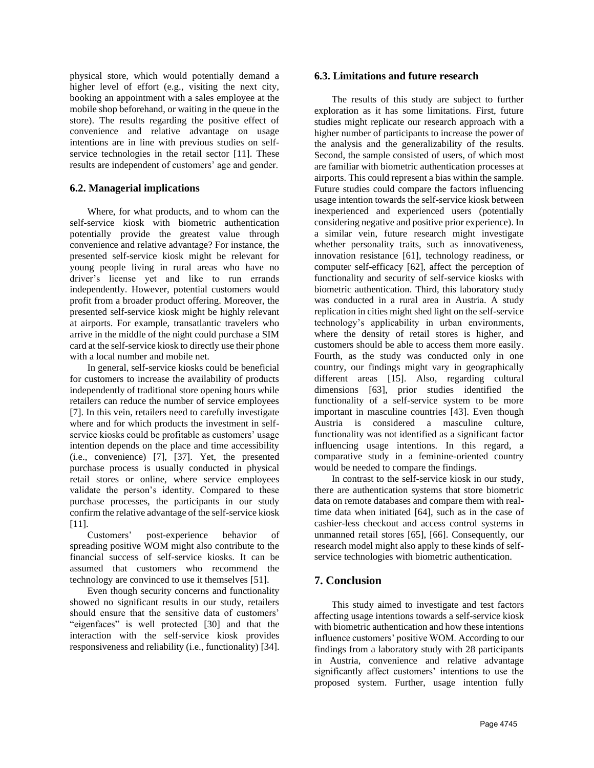physical store, which would potentially demand a higher level of effort (e.g., visiting the next city, booking an appointment with a sales employee at the mobile shop beforehand, or waiting in the queue in the store). The results regarding the positive effect of convenience and relative advantage on usage intentions are in line with previous studies on selfservice technologies in the retail sector [11]. These results are independent of customers' age and gender.

## **6.2. Managerial implications**

Where, for what products, and to whom can the self-service kiosk with biometric authentication potentially provide the greatest value through convenience and relative advantage? For instance, the presented self-service kiosk might be relevant for young people living in rural areas who have no driver's license yet and like to run errands independently. However, potential customers would profit from a broader product offering. Moreover, the presented self-service kiosk might be highly relevant at airports. For example, transatlantic travelers who arrive in the middle of the night could purchase a SIM card at the self-service kiosk to directly use their phone with a local number and mobile net.

In general, self-service kiosks could be beneficial for customers to increase the availability of products independently of traditional store opening hours while retailers can reduce the number of service employees [7]. In this vein, retailers need to carefully investigate where and for which products the investment in selfservice kiosks could be profitable as customers' usage intention depends on the place and time accessibility (i.e., convenience) [7], [37]. Yet, the presented purchase process is usually conducted in physical retail stores or online, where service employees validate the person's identity. Compared to these purchase processes, the participants in our study confirm the relative advantage of the self-service kiosk [11].

Customers' post-experience behavior of spreading positive WOM might also contribute to the financial success of self-service kiosks. It can be assumed that customers who recommend the technology are convinced to use it themselves [51].

Even though security concerns and functionality showed no significant results in our study, retailers should ensure that the sensitive data of customers' "eigenfaces" is well protected [30] and that the interaction with the self-service kiosk provides responsiveness and reliability (i.e., functionality) [34].

## **6.3. Limitations and future research**

The results of this study are subject to further exploration as it has some limitations. First, future studies might replicate our research approach with a higher number of participants to increase the power of the analysis and the generalizability of the results. Second, the sample consisted of users, of which most are familiar with biometric authentication processes at airports. This could represent a bias within the sample. Future studies could compare the factors influencing usage intention towards the self-service kiosk between inexperienced and experienced users (potentially considering negative and positive prior experience). In a similar vein, future research might investigate whether personality traits, such as innovativeness, innovation resistance [61], technology readiness, or computer self-efficacy [62], affect the perception of functionality and security of self-service kiosks with biometric authentication. Third, this laboratory study was conducted in a rural area in Austria. A study replication in cities might shed light on the self-service technology's applicability in urban environments, where the density of retail stores is higher, and customers should be able to access them more easily. Fourth, as the study was conducted only in one country, our findings might vary in geographically different areas [15]. Also, regarding cultural dimensions [63], prior studies identified the functionality of a self-service system to be more important in masculine countries [43]. Even though Austria is considered a masculine culture, functionality was not identified as a significant factor influencing usage intentions. In this regard, a comparative study in a feminine-oriented country would be needed to compare the findings.

In contrast to the self-service kiosk in our study, there are authentication systems that store biometric data on remote databases and compare them with realtime data when initiated [64], such as in the case of cashier-less checkout and access control systems in unmanned retail stores [65], [66]. Consequently, our research model might also apply to these kinds of selfservice technologies with biometric authentication.

# **7. Conclusion**

This study aimed to investigate and test factors affecting usage intentions towards a self-service kiosk with biometric authentication and how these intentions influence customers' positive WOM. According to our findings from a laboratory study with 28 participants in Austria, convenience and relative advantage significantly affect customers' intentions to use the proposed system. Further, usage intention fully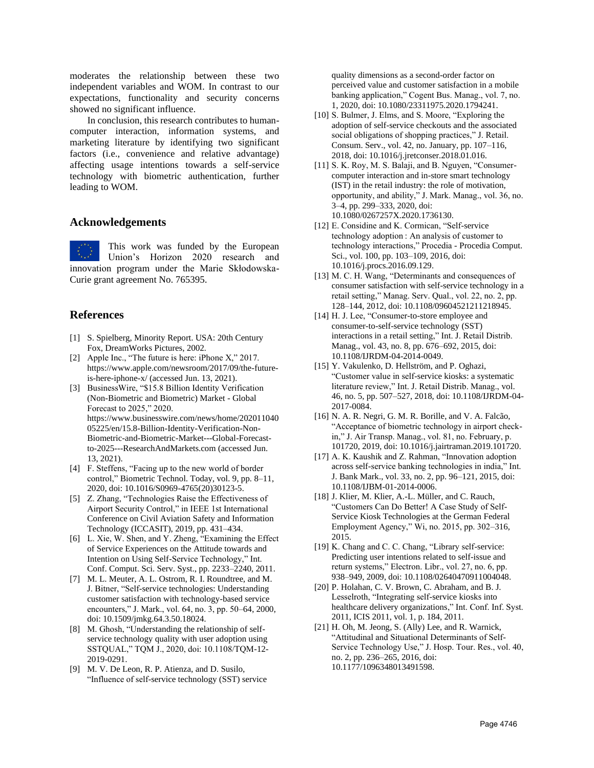moderates the relationship between these two independent variables and WOM. In contrast to our expectations, functionality and security concerns showed no significant influence.

In conclusion, this research contributes to humancomputer interaction, information systems, and marketing literature by identifying two significant factors (i.e., convenience and relative advantage) affecting usage intentions towards a self-service technology with biometric authentication, further leading to WOM.

## **Acknowledgements**

This work was funded by the European Union's Horizon 2020 research and innovation program under the Marie Skłodowska-Curie grant agreement No. 765395.

## **References**

- [1] S. Spielberg, Minority Report. USA: 20th Century Fox, DreamWorks Pictures, 2002.
- [2] Apple Inc., "The future is here: iPhone X," 2017. https://www.apple.com/newsroom/2017/09/the-futureis-here-iphone-x/ (accessed Jun. 13, 2021).
- [3] BusinessWire, "\$15.8 Billion Identity Verification (Non-Biometric and Biometric) Market - Global Forecast to 2025," 2020. https://www.businesswire.com/news/home/202011040 05225/en/15.8-Billion-Identity-Verification-Non-Biometric-and-Biometric-Market---Global-Forecastto-2025---ResearchAndMarkets.com (accessed Jun. 13, 2021).
- [4] F. Steffens, "Facing up to the new world of border control," Biometric Technol. Today, vol. 9, pp. 8–11, 2020, doi: 10.1016/S0969-4765(20)30123-5.
- [5] Z. Zhang, "Technologies Raise the Effectiveness of Airport Security Control," in IEEE 1st International Conference on Civil Aviation Safety and Information Technology (ICCASIT), 2019, pp. 431–434.
- [6] L. Xie, W. Shen, and Y. Zheng, "Examining the Effect of Service Experiences on the Attitude towards and Intention on Using Self-Service Technology," Int. Conf. Comput. Sci. Serv. Syst., pp. 2233–2240, 2011.
- [7] M. L. Meuter, A. L. Ostrom, R. I. Roundtree, and M. J. Bitner, "Self-service technologies: Understanding customer satisfaction with technology-based service encounters," J. Mark., vol. 64, no. 3, pp. 50–64, 2000, doi: 10.1509/jmkg.64.3.50.18024.
- [8] M. Ghosh, "Understanding the relationship of selfservice technology quality with user adoption using SSTQUAL," TQM J., 2020, doi: 10.1108/TQM-12- 2019-0291.
- [9] M. V. De Leon, R. P. Atienza, and D. Susilo, "Influence of self-service technology (SST) service

quality dimensions as a second-order factor on perceived value and customer satisfaction in a mobile banking application," Cogent Bus. Manag., vol. 7, no. 1, 2020, doi: 10.1080/23311975.2020.1794241.

- [10] S. Bulmer, J. Elms, and S. Moore, "Exploring the adoption of self-service checkouts and the associated social obligations of shopping practices," J. Retail. Consum. Serv., vol. 42, no. January, pp. 107–116, 2018, doi: 10.1016/j.jretconser.2018.01.016.
- [11] S. K. Roy, M. S. Balaji, and B. Nguyen, "Consumercomputer interaction and in-store smart technology (IST) in the retail industry: the role of motivation, opportunity, and ability," J. Mark. Manag., vol. 36, no. 3–4, pp. 299–333, 2020, doi: 10.1080/0267257X.2020.1736130.
- [12] E. Considine and K. Cormican, "Self-service" technology adoption : An analysis of customer to technology interactions," Procedia - Procedia Comput. Sci., vol. 100, pp. 103–109, 2016, doi: 10.1016/j.procs.2016.09.129.
- [13] M. C. H. Wang, "Determinants and consequences of consumer satisfaction with self-service technology in a retail setting," Manag. Serv. Qual., vol. 22, no. 2, pp. 128–144, 2012, doi: 10.1108/09604521211218945.
- [14] H. J. Lee, "Consumer-to-store employee and consumer-to-self-service technology (SST) interactions in a retail setting," Int. J. Retail Distrib. Manag., vol. 43, no. 8, pp. 676–692, 2015, doi: 10.1108/IJRDM-04-2014-0049.
- [15] Y. Vakulenko, D. Hellström, and P. Oghazi, "Customer value in self-service kiosks: a systematic literature review," Int. J. Retail Distrib. Manag., vol. 46, no. 5, pp. 507–527, 2018, doi: 10.1108/IJRDM-04- 2017-0084.
- [16] N. A. R. Negri, G. M. R. Borille, and V. A. Falcão, "Acceptance of biometric technology in airport checkin," J. Air Transp. Manag., vol. 81, no. February, p. 101720, 2019, doi: 10.1016/j.jairtraman.2019.101720.
- [17] A. K. Kaushik and Z. Rahman, "Innovation adoption across self-service banking technologies in india," Int. J. Bank Mark., vol. 33, no. 2, pp. 96–121, 2015, doi: 10.1108/IJBM-01-2014-0006.
- [18] J. Klier, M. Klier, A.-L. Müller, and C. Rauch, "Customers Can Do Better! A Case Study of Self-Service Kiosk Technologies at the German Federal Employment Agency," Wi, no. 2015, pp. 302–316, 2015.
- [19] K. Chang and C. C. Chang, "Library self-service: Predicting user intentions related to self-issue and return systems," Electron. Libr., vol. 27, no. 6, pp. 938–949, 2009, doi: 10.1108/02640470911004048.
- [20] P. Holahan, C. V. Brown, C. Abraham, and B. J. Lesselroth, "Integrating self-service kiosks into healthcare delivery organizations," Int. Conf. Inf. Syst. 2011, ICIS 2011, vol. 1, p. 184, 2011.
- [21] H. Oh, M. Jeong, S. (Ally) Lee, and R. Warnick, "Attitudinal and Situational Determinants of Self-Service Technology Use," J. Hosp. Tour. Res., vol. 40, no. 2, pp. 236–265, 2016, doi: 10.1177/1096348013491598.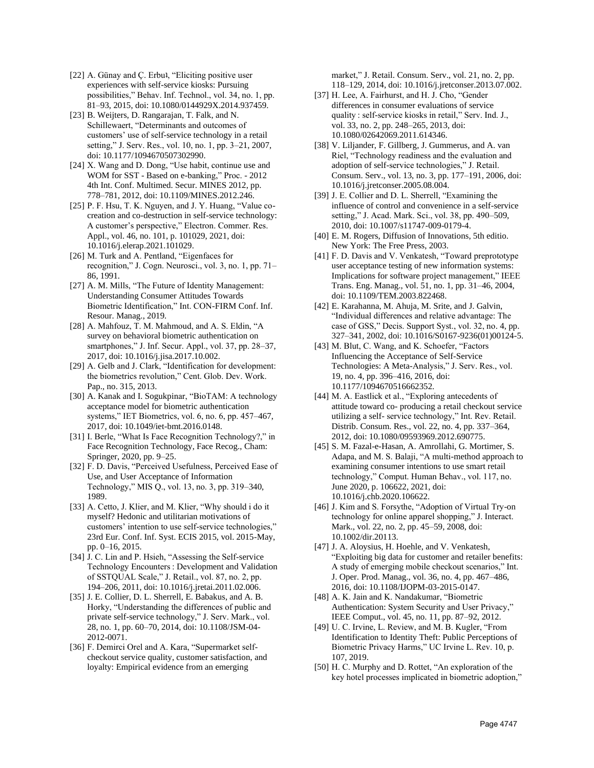- [22] A. Günay and Ç. Erbu<sup>1</sup>, "Eliciting positive user experiences with self-service kiosks: Pursuing possibilities," Behav. Inf. Technol., vol. 34, no. 1, pp. 81–93, 2015, doi: 10.1080/0144929X.2014.937459.
- [23] B. Weijters, D. Rangarajan, T. Falk, and N. Schillewaert, "Determinants and outcomes of customers' use of self-service technology in a retail setting," J. Serv. Res., vol. 10, no. 1, pp. 3–21, 2007, doi: 10.1177/1094670507302990.
- [24] X. Wang and D. Dong, "Use habit, continue use and WOM for SST - Based on e-banking," Proc. - 2012 4th Int. Conf. Multimed. Secur. MINES 2012, pp. 778–781, 2012, doi: 10.1109/MINES.2012.246.
- [25] P. F. Hsu, T. K. Nguyen, and J. Y. Huang, "Value cocreation and co-destruction in self-service technology: A customer's perspective," Electron. Commer. Res. Appl., vol. 46, no. 101, p. 101029, 2021, doi: 10.1016/j.elerap.2021.101029.
- [26] M. Turk and A. Pentland, "Eigenfaces for recognition," J. Cogn. Neurosci., vol. 3, no. 1, pp. 71– 86, 1991.
- [27] A. M. Mills, "The Future of Identity Management: Understanding Consumer Attitudes Towards Biometric Identification," Int. CON-FIRM Conf. Inf. Resour. Manag., 2019.
- [28] A. Mahfouz, T. M. Mahmoud, and A. S. Eldin, "A survey on behavioral biometric authentication on smartphones," J. Inf. Secur. Appl., vol. 37, pp. 28-37, 2017, doi: 10.1016/j.jisa.2017.10.002.
- [29] A. Gelb and J. Clark, "Identification for development: the biometrics revolution," Cent. Glob. Dev. Work. Pap., no. 315, 2013.
- [30] A. Kanak and I. Sogukpinar, "BioTAM: A technology acceptance model for biometric authentication systems," IET Biometrics, vol. 6, no. 6, pp. 457–467, 2017, doi: 10.1049/iet-bmt.2016.0148.
- [31] I. Berle, "What Is Face Recognition Technology?," in Face Recognition Technology, Face Recog., Cham: Springer, 2020, pp. 9–25.
- [32] F. D. Davis, "Perceived Usefulness, Perceived Ease of Use, and User Acceptance of Information Technology," MIS Q., vol. 13, no. 3, pp. 319–340, 1989.
- [33] A. Cetto, J. Klier, and M. Klier, "Why should i do it myself? Hedonic and utilitarian motivations of customers' intention to use self-service technologies," 23rd Eur. Conf. Inf. Syst. ECIS 2015, vol. 2015-May, pp. 0–16, 2015.
- [34] J. C. Lin and P. Hsieh, "Assessing the Self-service Technology Encounters : Development and Validation of SSTQUAL Scale," J. Retail., vol. 87, no. 2, pp. 194–206, 2011, doi: 10.1016/j.jretai.2011.02.006.
- [35] J. E. Collier, D. L. Sherrell, E. Babakus, and A. B. Horky, "Understanding the differences of public and private self-service technology," J. Serv. Mark., vol. 28, no. 1, pp. 60–70, 2014, doi: 10.1108/JSM-04- 2012-0071.
- [36] F. Demirci Orel and A. Kara, "Supermarket selfcheckout service quality, customer satisfaction, and loyalty: Empirical evidence from an emerging

market," J. Retail. Consum. Serv., vol. 21, no. 2, pp. 118–129, 2014, doi: 10.1016/j.jretconser.2013.07.002.

- [37] H. Lee, A. Fairhurst, and H. J. Cho, "Gender differences in consumer evaluations of service quality : self-service kiosks in retail," Serv. Ind. J., vol. 33, no. 2, pp. 248–265, 2013, doi: 10.1080/02642069.2011.614346.
- [38] V. Liljander, F. Gillberg, J. Gummerus, and A. van Riel, "Technology readiness and the evaluation and adoption of self-service technologies," J. Retail. Consum. Serv., vol. 13, no. 3, pp. 177–191, 2006, doi: 10.1016/j.jretconser.2005.08.004.
- [39] J. E. Collier and D. L. Sherrell, "Examining the influence of control and convenience in a self-service setting," J. Acad. Mark. Sci., vol. 38, pp. 490–509, 2010, doi: 10.1007/s11747-009-0179-4.
- [40] E. M. Rogers, Diffusion of Innovations, 5th editio. New York: The Free Press, 2003.
- [41] F. D. Davis and V. Venkatesh, "Toward preprototype user acceptance testing of new information systems: Implications for software project management," IEEE Trans. Eng. Manag., vol. 51, no. 1, pp. 31–46, 2004, doi: 10.1109/TEM.2003.822468.
- [42] E. Karahanna, M. Ahuja, M. Srite, and J. Galvin, "Individual differences and relative advantage: The case of GSS," Decis. Support Syst., vol. 32, no. 4, pp. 327–341, 2002, doi: 10.1016/S0167-9236(01)00124-5.
- [43] M. Blut, C. Wang, and K. Schoefer, "Factors Influencing the Acceptance of Self-Service Technologies: A Meta-Analysis," J. Serv. Res., vol. 19, no. 4, pp. 396–416, 2016, doi: 10.1177/1094670516662352.
- [44] M. A. Eastlick et al., "Exploring antecedents of attitude toward co- producing a retail checkout service utilizing a self- service technology," Int. Rev. Retail. Distrib. Consum. Res., vol. 22, no. 4, pp. 337–364, 2012, doi: 10.1080/09593969.2012.690775.
- [45] S. M. Fazal-e-Hasan, A. Amrollahi, G. Mortimer, S. Adapa, and M. S. Balaji, "A multi-method approach to examining consumer intentions to use smart retail technology," Comput. Human Behav., vol. 117, no. June 2020, p. 106622, 2021, doi: 10.1016/j.chb.2020.106622.
- [46] J. Kim and S. Forsythe, "Adoption of Virtual Try-on technology for online apparel shopping," J. Interact. Mark., vol. 22, no. 2, pp. 45–59, 2008, doi: 10.1002/dir.20113.
- [47] J. A. Aloysius, H. Hoehle, and V. Venkatesh, "Exploiting big data for customer and retailer benefits: A study of emerging mobile checkout scenarios," Int. J. Oper. Prod. Manag., vol. 36, no. 4, pp. 467–486, 2016, doi: 10.1108/IJOPM-03-2015-0147.
- [48] A. K. Jain and K. Nandakumar, "Biometric Authentication: System Security and User Privacy," IEEE Comput., vol. 45, no. 11, pp. 87–92, 2012.
- [49] U. C. Irvine, L. Review, and M. B. Kugler, "From Identification to Identity Theft: Public Perceptions of Biometric Privacy Harms," UC Irvine L. Rev. 10, p. 107, 2019.
- [50] H. C. Murphy and D. Rottet, "An exploration of the key hotel processes implicated in biometric adoption,"